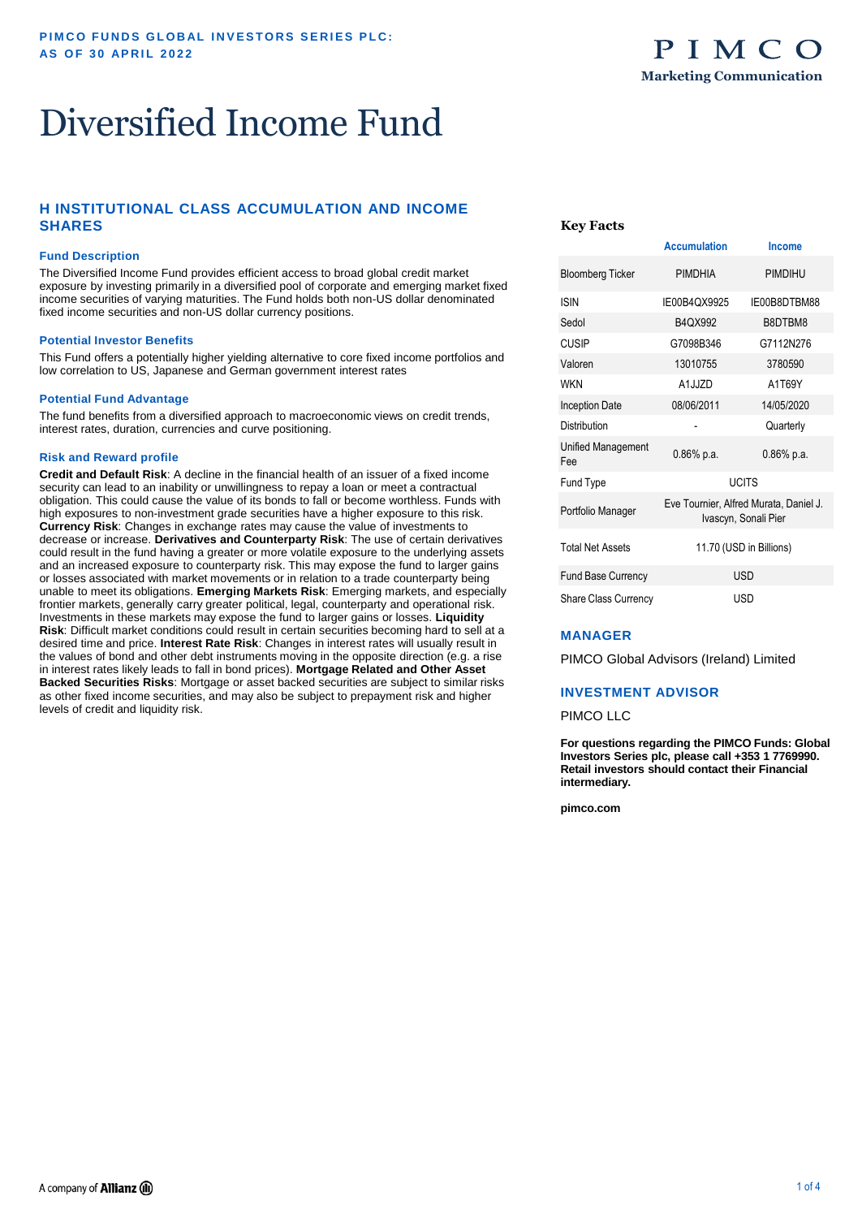## Diversified Income Fund

### **H INSTITUTIONAL CLASS ACCUMULATION AND INCOME SHARES**

#### **Fund Description**

The Diversified Income Fund provides efficient access to broad global credit market exposure by investing primarily in a diversified pool of corporate and emerging market fixed income securities of varying maturities. The Fund holds both non-US dollar denominated fixed income securities and non-US dollar currency positions.

#### **Potential Investor Benefits**

This Fund offers a potentially higher yielding alternative to core fixed income portfolios and low correlation to US, Japanese and German government interest rates

#### **Potential Fund Advantage**

The fund benefits from a diversified approach to macroeconomic views on credit trends, interest rates, duration, currencies and curve positioning.

#### **Risk and Reward profile**

**Credit and Default Risk**: A decline in the financial health of an issuer of a fixed income security can lead to an inability or unwillingness to repay a loan or meet a contractual obligation. This could cause the value of its bonds to fall or become worthless. Funds with high exposures to non-investment grade securities have a higher exposure to this risk. **Currency Risk**: Changes in exchange rates may cause the value of investments to decrease or increase. **Derivatives and Counterparty Risk**: The use of certain derivatives could result in the fund having a greater or more volatile exposure to the underlying assets and an increased exposure to counterparty risk. This may expose the fund to larger gains or losses associated with market movements or in relation to a trade counterparty being unable to meet its obligations. **Emerging Markets Risk**: Emerging markets, and especially frontier markets, generally carry greater political, legal, counterparty and operational risk. Investments in these markets may expose the fund to larger gains or losses. **Liquidity Risk**: Difficult market conditions could result in certain securities becoming hard to sell at a desired time and price. **Interest Rate Risk**: Changes in interest rates will usually result in the values of bond and other debt instruments moving in the opposite direction (e.g. a rise in interest rates likely leads to fall in bond prices). **Mortgage Related and Other Asset Backed Securities Risks**: Mortgage or asset backed securities are subject to similar risks as other fixed income securities, and may also be subject to prepayment risk and higher levels of credit and liquidity risk.

#### **Key Facts**

|                             | Accumulation                                                   | писопие       |  |  |  |  |
|-----------------------------|----------------------------------------------------------------|---------------|--|--|--|--|
| <b>Bloomberg Ticker</b>     | <b>PIMDHIA</b>                                                 | PIMDIHU       |  |  |  |  |
| <b>ISIN</b>                 | IE00B4QX9925                                                   | IE00B8DTBM88  |  |  |  |  |
| Sedol                       | B4QX992                                                        | B8DTBM8       |  |  |  |  |
| <b>CUSIP</b>                | G7098B346                                                      | G7112N276     |  |  |  |  |
| Valoren                     | 13010755                                                       | 3780590       |  |  |  |  |
| <b>WKN</b>                  | A1.I.IZD                                                       | A1T69Y        |  |  |  |  |
| <b>Inception Date</b>       | 08/06/2011                                                     | 14/05/2020    |  |  |  |  |
| Distribution                |                                                                | Quarterly     |  |  |  |  |
| Unified Management<br>Fee   | $0.86%$ p.a.                                                   | $0.86\%$ p.a. |  |  |  |  |
| Fund Type                   |                                                                | <b>UCITS</b>  |  |  |  |  |
| Portfolio Manager           | Eve Tournier, Alfred Murata, Daniel J.<br>Ivascyn, Sonali Pier |               |  |  |  |  |
| <b>Total Net Assets</b>     | 11.70 (USD in Billions)                                        |               |  |  |  |  |
| Fund Base Currency          | <b>USD</b>                                                     |               |  |  |  |  |
| <b>Share Class Currency</b> | USD                                                            |               |  |  |  |  |

**Accumulation Income** 

#### **MANAGER**

PIMCO Global Advisors (Ireland) Limited

#### **INVESTMENT ADVISOR**

#### PIMCO LLC

**For questions regarding the PIMCO Funds: Global Investors Series plc, please call +353 1 7769990. Retail investors should contact their Financial intermediary.** 

**pimco.com**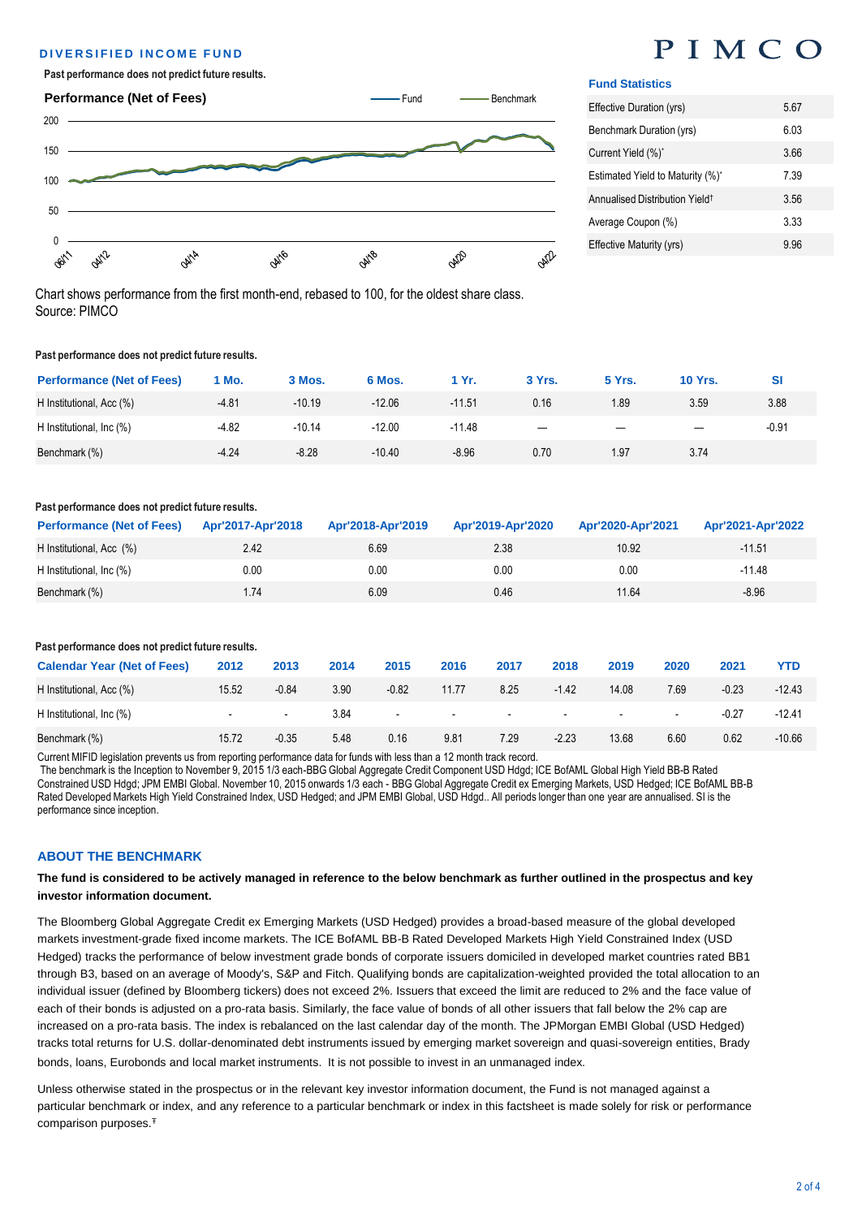#### **DIVERSIFIED INCOME FUND**

#### **Past performance does not predict future results.**



Chart shows performance from the first month-end, rebased to 100, for the oldest share class.

## PIMCO

#### **Fund Statistics**

| Effective Duration (yrs)                   | 567  |
|--------------------------------------------|------|
| Benchmark Duration (yrs)                   | 6.03 |
| Current Yield (%)*                         | 3.66 |
| Estimated Yield to Maturity (%)*           | 7 39 |
| Annualised Distribution Yield <sup>+</sup> | 3.56 |
| Average Coupon (%)                         | 3.33 |
| Effective Maturity (yrs)                   | 996  |

**Past performance does not predict future results.** 

Source: PIMCO

| <b>Performance (Net of Fees)</b> | 1 Mo.   | 3 Mos.   | 6 Mos.   | 1 Yr.    | 3 Yrs.                   | <b>5 Yrs.</b> | <b>10 Yrs.</b> | SI      |
|----------------------------------|---------|----------|----------|----------|--------------------------|---------------|----------------|---------|
| H Institutional, Acc (%)         | $-4.81$ | $-10.19$ | $-12.06$ | $-11.51$ | 0.16                     | 1.89          | 3.59           | 3.88    |
| H Institutional, Inc (%)         | $-4.82$ | $-10.14$ | $-12.00$ | $-11.48$ | $\overline{\phantom{m}}$ |               |                | $-0.91$ |
| Benchmark (%)                    | $-4.24$ | $-8.28$  | $-10.40$ | $-8.96$  | 0.70                     | 1.97          | 3.74           |         |

#### **Past performance does not predict future results.**

| <b>Performance (Net of Fees)</b> | Apr'2017-Apr'2018 | Apr'2018-Apr'2019 | Apr'2019-Apr'2020 | Apr'2020-Apr'2021 | Apr'2021-Apr'2022 |
|----------------------------------|-------------------|-------------------|-------------------|-------------------|-------------------|
| H Institutional, Acc (%)         | 2.42              | 6.69              | 2.38              | 10.92             | $-11.51$          |
| H Institutional, Inc (%)         | 0.00              | 0.00              | 0.00              | 0.00              | $-11.48$          |
| Benchmark (%)                    | 1.74              | 6.09              | 0.46              | 11.64             | $-8.96$           |

| Past performance does not predict future results. |       |                          |      |         |                          |                          |         |        |                          |         |          |
|---------------------------------------------------|-------|--------------------------|------|---------|--------------------------|--------------------------|---------|--------|--------------------------|---------|----------|
| <b>Calendar Year (Net of Fees)</b>                | 2012  | 2013                     | 2014 | 2015    | 2016                     | 2017                     | 2018    | 2019   | 2020                     | 2021    | YTD      |
| H Institutional, Acc (%)                          | 15.52 | $-0.84$                  | 3.90 | $-0.82$ | 11.77                    | 8.25                     | $-1.42$ | 14.08  | 7.69                     | $-0.23$ | $-12.43$ |
| H Institutional, Inc (%)                          |       | $\overline{\phantom{a}}$ | 3.84 | $\sim$  | $\overline{\phantom{a}}$ | $\overline{\phantom{a}}$ | $\sim$  | $\sim$ | $\overline{\phantom{0}}$ | $-0.27$ | $-12.41$ |
| Benchmark (%)                                     | 15.72 | $-0.35$                  | 5.48 | 0.16    | 9.81                     | 7.29                     | $-2.23$ | 13.68  | 6.60                     | 0.62    | $-10.66$ |

Current MIFID legislation prevents us from reporting performance data for funds with less than a 12 month track record.

The benchmark is the Inception to November 9, 2015 1/3 each-BBG Global Aggregate Credit Component USD Hdgd; ICE BofAML Global High Yield BB-B Rated Constrained USD Hdgd; JPM EMBI Global. November 10, 2015 onwards 1/3 each - BBG Global Aggregate Credit ex Emerging Markets, USD Hedged; ICE BofAML BB-B Rated Developed Markets High Yield Constrained Index, USD Hedged; and JPM EMBI Global, USD Hdgd.. All periods longer than one year are annualised. SI is the performance since inception.

#### **ABOUT THE BENCHMARK**

#### **The fund is considered to be actively managed in reference to the below benchmark as further outlined in the prospectus and key investor information document.**

The Bloomberg Global Aggregate Credit ex Emerging Markets (USD Hedged) provides a broad-based measure of the global developed markets investment-grade fixed income markets. The ICE BofAML BB-B Rated Developed Markets High Yield Constrained Index (USD Hedged) tracks the performance of below investment grade bonds of corporate issuers domiciled in developed market countries rated BB1 through B3, based on an average of Moody's, S&P and Fitch. Qualifying bonds are capitalization-weighted provided the total allocation to an individual issuer (defined by Bloomberg tickers) does not exceed 2%. Issuers that exceed the limit are reduced to 2% and the face value of each of their bonds is adjusted on a pro-rata basis. Similarly, the face value of bonds of all other issuers that fall below the 2% cap are increased on a pro-rata basis. The index is rebalanced on the last calendar day of the month. The JPMorgan EMBI Global (USD Hedged) tracks total returns for U.S. dollar-denominated debt instruments issued by emerging market sovereign and quasi-sovereign entities, Brady bonds, loans, Eurobonds and local market instruments. It is not possible to invest in an unmanaged index.

Unless otherwise stated in the prospectus or in the relevant key investor information document, the Fund is not managed against a particular benchmark or index, and any reference to a particular benchmark or index in this factsheet is made solely for risk or performance comparison purposes.<sup>Ŧ</sup>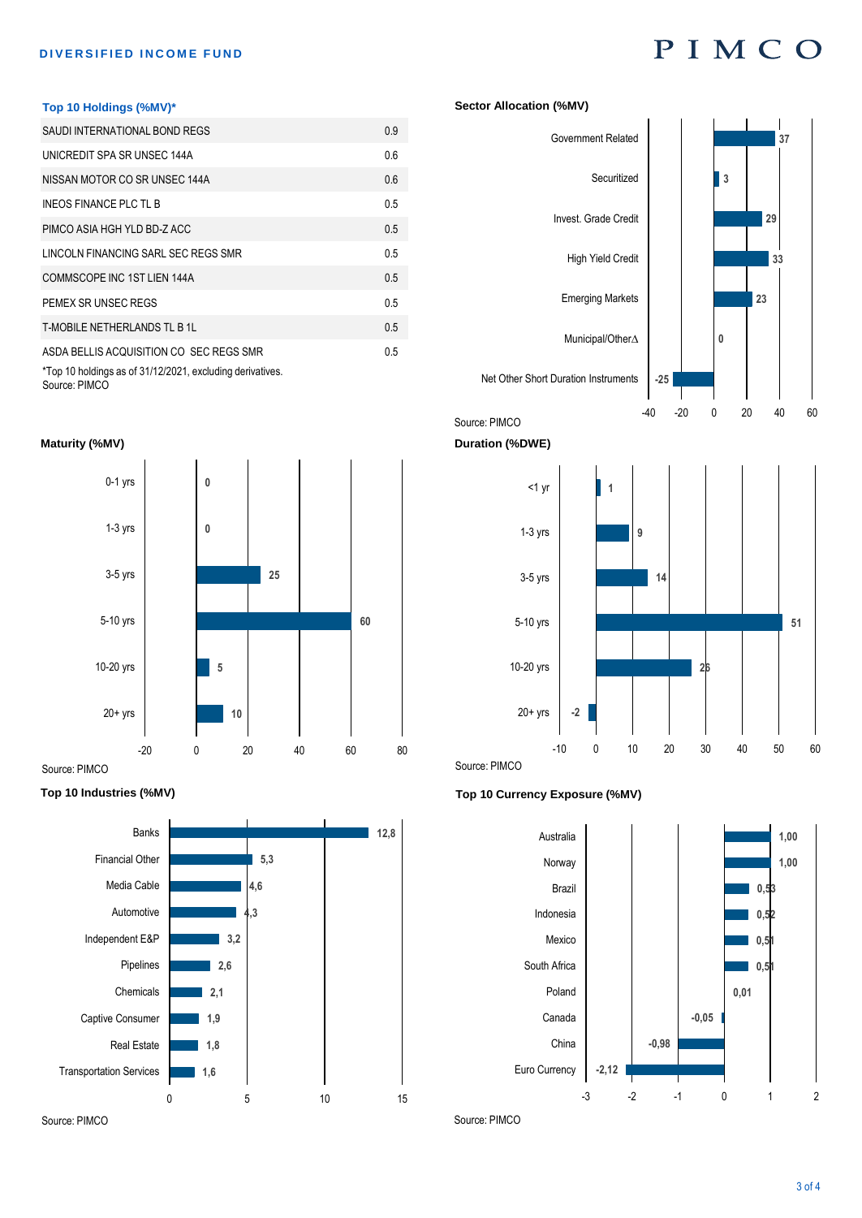# **DIVERSIFIED INCOME FUND**<br> **D I M C O**

#### **Top 10 Holdings (%MV)\***

| SAUDI INTERNATIONAL BOND REGS                                                                        | 0.9 |
|------------------------------------------------------------------------------------------------------|-----|
| UNICREDIT SPA SR UNSEC 144A                                                                          | 0.6 |
| NISSAN MOTOR CO SR UNSEC 144A                                                                        | 0.6 |
| INEOS FINANCE PLC TL B                                                                               | 0.5 |
| PIMCO ASIA HGH YLD BD-Z ACC                                                                          | 0.5 |
| LINCOLN FINANCING SARL SEC REGS SMR                                                                  | 0.5 |
| COMMSCOPE INC 1ST LIEN 144A                                                                          | 0.5 |
| PEMEX SR UNSEC REGS                                                                                  | 0.5 |
| T-MOBILE NETHERLANDS TL B 1L                                                                         | 0.5 |
| ASDA BELLIS ACQUISITION CO SEC REGS SMR<br>*Top 10 holdings as of 31/12/2021, excluding derivatives. | 0.5 |

#### **Maturity (%MV)**



#### **Top 10 Industries (%MV)**



#### **Sector Allocation (%MV)**





**Duration (%DWE)**

Source: PIMCO



#### **Top 10 Currency Exposure (%MV)**